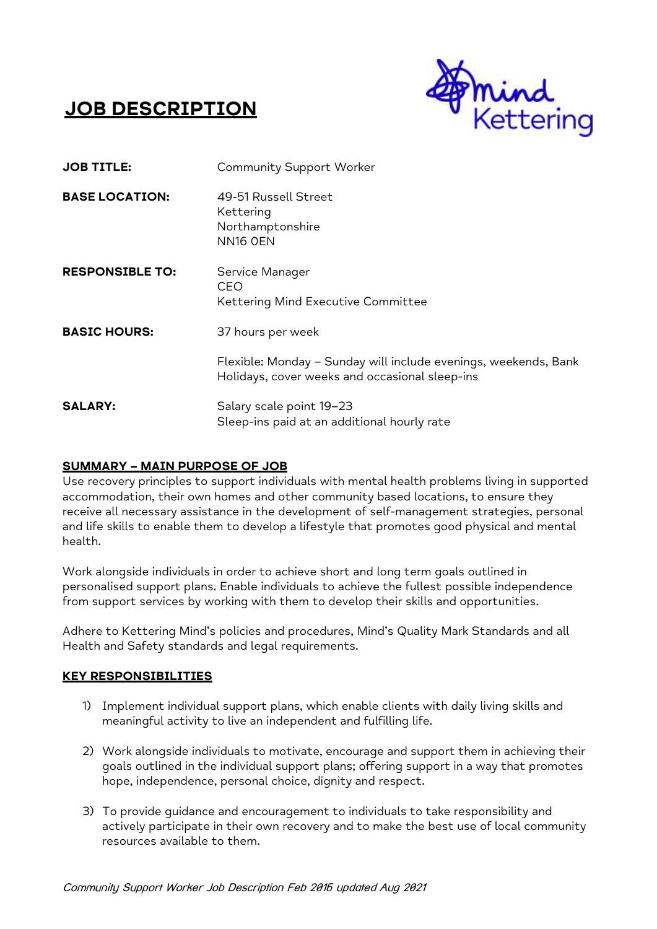# **JOB DESCRIPTION**



| <b>JOB TITLE:</b>      | <b>Community Support Worker</b>                                                                                           |
|------------------------|---------------------------------------------------------------------------------------------------------------------------|
| <b>BASE LOCATION:</b>  | 49-51 Russell Street<br>Kettering<br>Northamptonshire<br>NN <sub>16</sub> OEN                                             |
| <b>RESPONSIBLE TO:</b> | Service Manager<br>CEO<br>Kettering Mind Executive Committee                                                              |
| <b>BASIC HOURS:</b>    | 37 hours per week<br>Flexible: Monday - Sunday will include evenings, weekends, Bank                                      |
| <b>SALARY:</b>         | Holidays, cover weeks and occasional sleep-ins<br>Salary scale point 19-23<br>Sleep-ins paid at an additional hourly rate |

## **SUMMARY – MAIN PURPOSE OF JOB**

Use recovery principles to support individuals with mental health problems living in supported accommodation, their own homes and other community based locations, to ensure they receive all necessary assistance in the development of self-management strategies, personal and life skills to enable them to develop a lifestyle that promotes good physical and mental health.

Work alongside individuals in order to achieve short and long term goals outlined in personalised support plans. Enable individuals to achieve the fullest possible independence from support services by working with them to develop their skills and opportunities.

Adhere to Kettering Mind's policies and procedures, Mind's Quality Mark Standards and all Health and Safety standards and legal requirements.

## **KEY RESPONSIBILITIES**

- 1) Implement individual support plans, which enable clients with daily living skills and meaningful activity to live an independent and fulfilling life.
- 2) Work alongside individuals to motivate, encourage and support them in achieving their goals outlined in the individual support plans; offering support in a way that promotes hope, independence, personal choice, dignity and respect.
- 3) To provide guidance and encouragement to individuals to take responsibility and actively participate in their own recovery and to make the best use of local community resources available to them.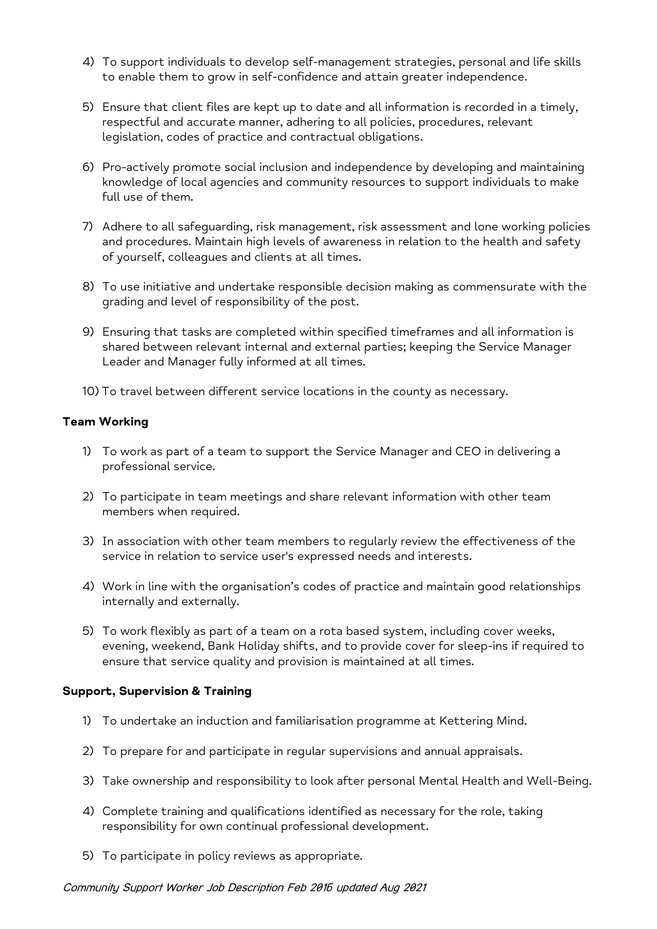- 4) To support individuals to develop self-management strategies, personal and life skills to enable them to grow in self-confidence and attain greater independence.
- 5) Ensure that client files are kept up to date and all information is recorded in a timely, respectful and accurate manner, adhering to all policies, procedures, relevant legislation, codes of practice and contractual obligations.
- 6) Pro-actively promote social inclusion and independence by developing and maintaining knowledge of local agencies and community resources to support individuals to make full use of them.
- 7) Adhere to all safeguarding, risk management, risk assessment and lone working policies and procedures. Maintain high levels of awareness in relation to the health and safety of yourself, colleagues and clients at all times.
- 8) To use initiative and undertake responsible decision making as commensurate with the grading and level of responsibility of the post.
- 9) Ensuring that tasks are completed within specified timeframes and all information is shared between relevant internal and external parties; keeping the Service Manager Leader and Manager fully informed at all times.
- 10) To travel between different service locations in the county as necessary.

## **Team Working**

- 1) To work as part of a team to support the Service Manager and CEO in delivering a professional service.
- 2) To participate in team meetings and share relevant information with other team members when required.
- 3) In association with other team members to regularly review the effectiveness of the service in relation to service user's expressed needs and interests.
- 4) Work in line with the organisation's codes of practice and maintain good relationships internally and externally.
- 5) To work flexibly as part of a team on a rota based system, including cover weeks, evening, weekend, Bank Holiday shifts, and to provide cover for sleep-ins if required to ensure that service quality and provision is maintained at all times.

## **Support, Supervision & Training**

- 1) To undertake an induction and familiarisation programme at Kettering Mind.
- 2) To prepare for and participate in regular supervisions and annual appraisals.
- 3) Take ownership and responsibility to look after personal Mental Health and Well-Being.
- 4) Complete training and qualifications identified as necessary for the role, taking responsibility for own continual professional development.
- 5) To participate in policy reviews as appropriate.

#### Community Support Worker Job Description Feb 2016 updated Aug 2021